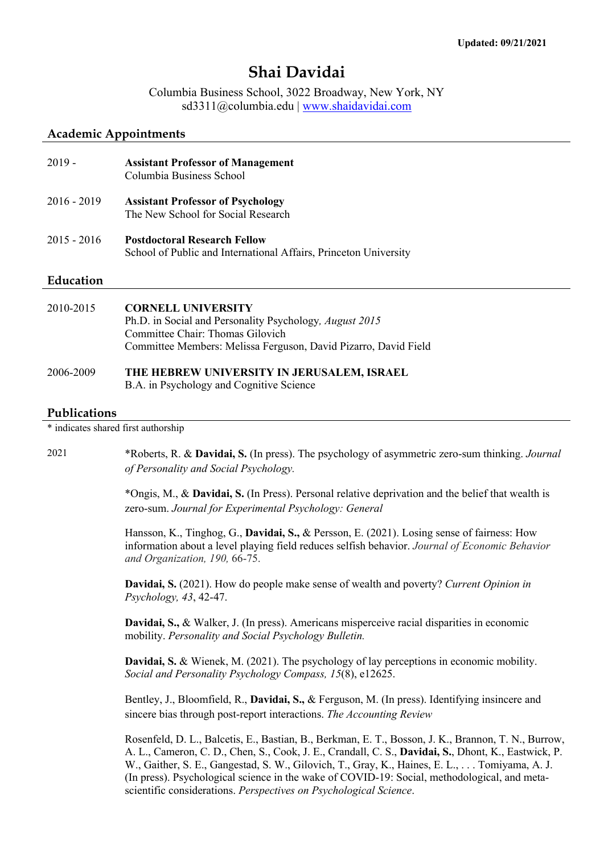# **Shai Davidai**

Columbia Business School, 3022 Broadway, New York, NY sd3311@columbia.edu | www.shaidavidai.com

#### **Academic Appointments**

| $2019 -$      | <b>Assistant Professor of Management</b><br>Columbia Business School                                    |
|---------------|---------------------------------------------------------------------------------------------------------|
| $2016 - 2019$ | <b>Assistant Professor of Psychology</b><br>The New School for Social Research                          |
| $2015 - 2016$ | <b>Postdoctoral Research Fellow</b><br>School of Public and International Affairs, Princeton University |

### **Education**

| 2010-2015 | <b>CORNELL UNIVERSITY</b>                                       |
|-----------|-----------------------------------------------------------------|
|           | Ph.D. in Social and Personality Psychology, <i>August 2015</i>  |
|           | Committee Chair: Thomas Gilovich                                |
|           | Committee Members: Melissa Ferguson, David Pizarro, David Field |
|           |                                                                 |
| 2006-2009 | THE HEBREW UNIVERSITY IN JERUSALEM, ISRAEL                      |

## B.A. in Psychology and Cognitive Science

#### **Publications**

\* indicates shared first authorship

2021 \*Roberts, R. & **Davidai, S.** (In press). The psychology of asymmetric zero-sum thinking. *Journal of Personality and Social Psychology.*

> \*Ongis, M., & **Davidai, S.** (In Press). Personal relative deprivation and the belief that wealth is zero-sum. *Journal for Experimental Psychology: General*

> Hansson, K., Tinghog, G., **Davidai, S.,** & Persson, E. (2021). Losing sense of fairness: How information about a level playing field reduces selfish behavior. *Journal of Economic Behavior and Organization, 190,* 66-75.

**Davidai, S.** (2021). How do people make sense of wealth and poverty? *Current Opinion in Psychology, 43*, 42-47.

**Davidai, S.,** & Walker, J. (In press). Americans misperceive racial disparities in economic mobility. *Personality and Social Psychology Bulletin.*

**Davidai, S.** & Wienek, M. (2021). The psychology of lay perceptions in economic mobility. *Social and Personality Psychology Compass, 15*(8), e12625.

Bentley, J., Bloomfield, R., **Davidai, S.,** & Ferguson, M. (In press). Identifying insincere and sincere bias through post-report interactions. *The Accounting Review*

Rosenfeld, D. L., Balcetis, E., Bastian, B., Berkman, E. T., Bosson, J. K., Brannon, T. N., Burrow, A. L., Cameron, C. D., Chen, S., Cook, J. E., Crandall, C. S., **Davidai, S.**, Dhont, K., Eastwick, P. W., Gaither, S. E., Gangestad, S. W., Gilovich, T., Gray, K., Haines, E. L., . . . Tomiyama, A. J. (In press). Psychological science in the wake of COVID-19: Social, methodological, and metascientific considerations. *Perspectives on Psychological Science*.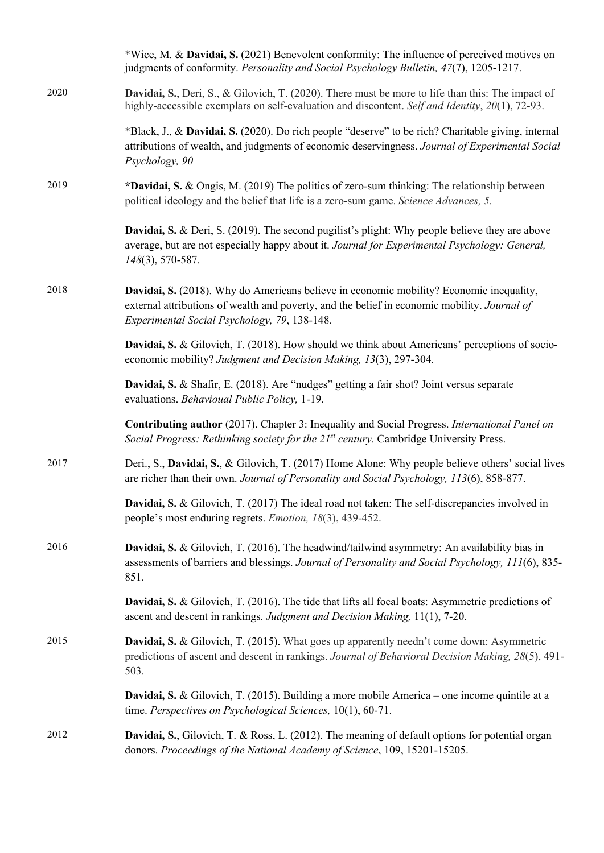|      | *Wice, M. & Davidai, S. (2021) Benevolent conformity: The influence of perceived motives on<br>judgments of conformity. Personality and Social Psychology Bulletin, 47(7), 1205-1217.                                                   |
|------|-----------------------------------------------------------------------------------------------------------------------------------------------------------------------------------------------------------------------------------------|
| 2020 | Davidai, S., Deri, S., & Gilovich, T. (2020). There must be more to life than this: The impact of<br>highly-accessible exemplars on self-evaluation and discontent. Self and Identity, 20(1), 72-93.                                    |
|      | *Black, J., & Davidai, S. (2020). Do rich people "deserve" to be rich? Charitable giving, internal<br>attributions of wealth, and judgments of economic deservingness. Journal of Experimental Social<br>Psychology, 90                 |
| 2019 | *Davidai, S. & Ongis, M. (2019) The politics of zero-sum thinking: The relationship between<br>political ideology and the belief that life is a zero-sum game. Science Advances, 5.                                                     |
|      | Davidai, S. & Deri, S. (2019). The second pugilist's plight: Why people believe they are above<br>average, but are not especially happy about it. Journal for Experimental Psychology: General,<br>148(3), 570-587.                     |
| 2018 | Davidai, S. (2018). Why do Americans believe in economic mobility? Economic inequality,<br>external attributions of wealth and poverty, and the belief in economic mobility. Journal of<br>Experimental Social Psychology, 79, 138-148. |
|      | Davidai, S. & Gilovich, T. (2018). How should we think about Americans' perceptions of socio-<br>economic mobility? Judgment and Decision Making, 13(3), 297-304.                                                                       |
|      | Davidai, S. & Shafir, E. (2018). Are "nudges" getting a fair shot? Joint versus separate<br>evaluations. Behavioual Public Policy, 1-19.                                                                                                |
|      | Contributing author (2017). Chapter 3: Inequality and Social Progress. International Panel on<br>Social Progress: Rethinking society for the 21 <sup>st</sup> century. Cambridge University Press.                                      |
| 2017 | Deri., S., Davidai, S., & Gilovich, T. (2017) Home Alone: Why people believe others' social lives<br>are richer than their own. Journal of Personality and Social Psychology, 113(6), 858-877.                                          |
|      | Davidai, S. & Gilovich, T. (2017) The ideal road not taken: The self-discrepancies involved in<br>people's most enduring regrets. <i>Emotion</i> , 18(3), 439-452.                                                                      |
| 2016 | Davidai, S. & Gilovich, T. (2016). The headwind/tailwind asymmetry: An availability bias in<br>assessments of barriers and blessings. Journal of Personality and Social Psychology, 111(6), 835-<br>851.                                |
|      | Davidai, S. & Gilovich, T. (2016). The tide that lifts all focal boats: Asymmetric predictions of<br>ascent and descent in rankings. Judgment and Decision Making, 11(1), 7-20.                                                         |
| 2015 | <b>Davidai, S. &amp; Gilovich, T. (2015).</b> What goes up apparently needn't come down: Asymmetric<br>predictions of ascent and descent in rankings. Journal of Behavioral Decision Making, 28(5), 491-<br>503.                        |
|      | <b>Davidai, S. &amp; Gilovich, T. (2015).</b> Building a more mobile America – one income quintile at a<br>time. Perspectives on Psychological Sciences, 10(1), 60-71.                                                                  |
| 2012 | Davidai, S., Gilovich, T. & Ross, L. (2012). The meaning of default options for potential organ<br>donors. Proceedings of the National Academy of Science, 109, 15201-15205.                                                            |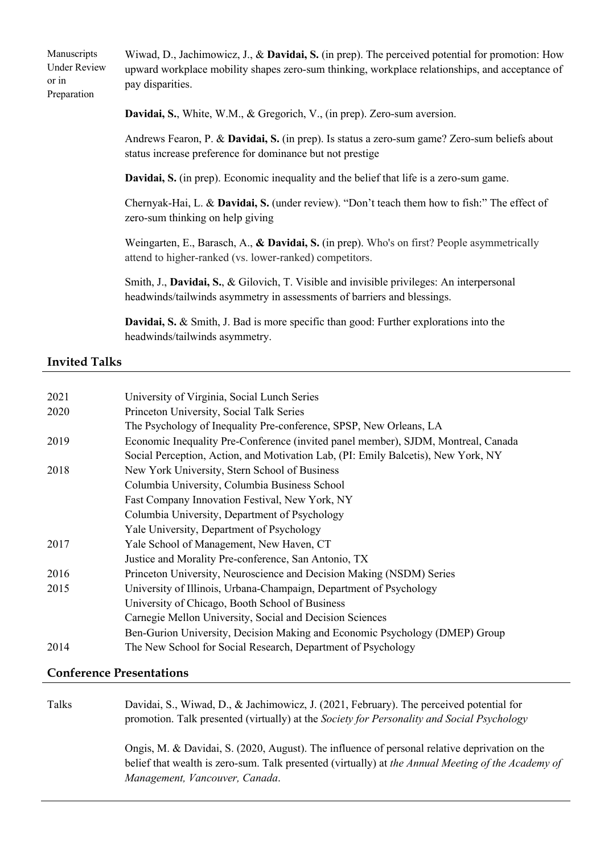| Wiwad, D., Jachimowicz, J., & Davidai, S. (in prep). The perceived potential for promotion: How<br>upward workplace mobility shapes zero-sum thinking, workplace relationships, and acceptance of<br>pay disparities. |
|-----------------------------------------------------------------------------------------------------------------------------------------------------------------------------------------------------------------------|
| Davidai, S., White, W.M., & Gregorich, V., (in prep). Zero-sum aversion.                                                                                                                                              |
| Andrews Fearon, P. & Davidai, S. (in prep). Is status a zero-sum game? Zero-sum beliefs about<br>status increase preference for dominance but not prestige                                                            |
| <b>Davidai, S.</b> (in prep). Economic inequality and the belief that life is a zero-sum game.                                                                                                                        |
| Chernyak-Hai, L. & Davidai, S. (under review). "Don't teach them how to fish:" The effect of<br>zero-sum thinking on help giving                                                                                      |
| Weingarten, E., Barasch, A., & Davidai, S. (in prep). Who's on first? People asymmetrically<br>attend to higher-ranked (vs. lower-ranked) competitors.                                                                |
| Smith, J., Davidai, S., & Gilovich, T. Visible and invisible privileges: An interpersonal<br>headwinds/tailwinds asymmetry in assessments of barriers and blessings.                                                  |
|                                                                                                                                                                                                                       |

**Davidai, S.** & Smith, J. Bad is more specific than good: Further explorations into the headwinds/tailwinds asymmetry.

# **Invited Talks**

| 2021 | University of Virginia, Social Lunch Series                                       |
|------|-----------------------------------------------------------------------------------|
| 2020 | Princeton University, Social Talk Series                                          |
|      | The Psychology of Inequality Pre-conference, SPSP, New Orleans, LA                |
| 2019 | Economic Inequality Pre-Conference (invited panel member), SJDM, Montreal, Canada |
|      | Social Perception, Action, and Motivation Lab, (PI: Emily Balcetis), New York, NY |
| 2018 | New York University, Stern School of Business                                     |
|      | Columbia University, Columbia Business School                                     |
|      | Fast Company Innovation Festival, New York, NY                                    |
|      | Columbia University, Department of Psychology                                     |
|      | Yale University, Department of Psychology                                         |
| 2017 | Yale School of Management, New Haven, CT                                          |
|      | Justice and Morality Pre-conference, San Antonio, TX                              |
| 2016 | Princeton University, Neuroscience and Decision Making (NSDM) Series              |
| 2015 | University of Illinois, Urbana-Champaign, Department of Psychology                |
|      | University of Chicago, Booth School of Business                                   |
|      | Carnegie Mellon University, Social and Decision Sciences                          |
|      | Ben-Gurion University, Decision Making and Economic Psychology (DMEP) Group       |
| 2014 | The New School for Social Research, Department of Psychology                      |
|      |                                                                                   |

# **Conference Presentations**

| Talks | Davidai, S., Wiwad, D., & Jachimowicz, J. (2021, February). The perceived potential for<br>promotion. Talk presented (virtually) at the Society for Personality and Social Psychology                                                 |
|-------|---------------------------------------------------------------------------------------------------------------------------------------------------------------------------------------------------------------------------------------|
|       | Ongis, M. & Davidai, S. (2020, August). The influence of personal relative deprivation on the<br>belief that wealth is zero-sum. Talk presented (virtually) at the Annual Meeting of the Academy of<br>Management, Vancouver, Canada. |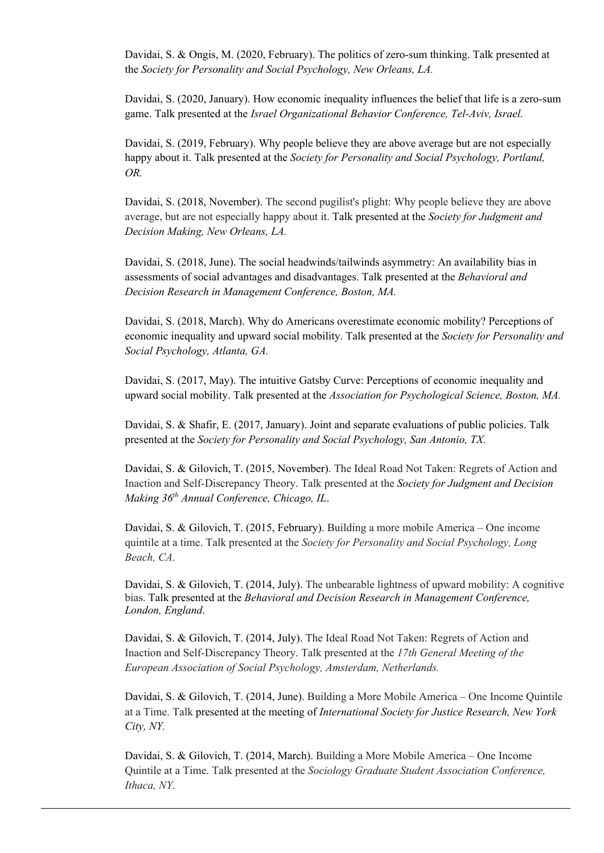Davidai, S. & Ongis, M. (2020, February). The politics of zero-sum thinking. Talk presented at the *Society for Personality and Social Psychology, New Orleans, LA.*

Davidai, S. (2020, January). How economic inequality influences the belief that life is a zero-sum game. Talk presented at the *Israel Organizational Behavior Conference, Tel-Aviv, Israel.* 

Davidai, S. (2019, February). Why people believe they are above average but are not especially happy about it. Talk presented at the *Society for Personality and Social Psychology, Portland, OR.*

Davidai, S. (2018, November). The second pugilist's plight: Why people believe they are above average, but are not especially happy about it. Talk presented at the *Society for Judgment and Decision Making, New Orleans, LA.*

Davidai, S. (2018, June). The social headwinds/tailwinds asymmetry: An availability bias in assessments of social advantages and disadvantages. Talk presented at the *Behavioral and Decision Research in Management Conference, Boston, MA.*

Davidai, S. (2018, March). Why do Americans overestimate economic mobility? Perceptions of economic inequality and upward social mobility. Talk presented at the *Society for Personality and Social Psychology, Atlanta, GA.*

Davidai, S. (2017, May). The intuitive Gatsby Curve: Perceptions of economic inequality and upward social mobility. Talk presented at the *Association for Psychological Science, Boston, MA.*

Davidai, S. & Shafir, E. (2017, January). Joint and separate evaluations of public policies. Talk presented at the *Society for Personality and Social Psychology, San Antonio, TX.* 

Davidai, S. & Gilovich, T. (2015, November). The Ideal Road Not Taken: Regrets of Action and Inaction and Self-Discrepancy Theory. Talk presented at the *Society for Judgment and Decision Making 36th Annual Conference, Chicago, IL*.

Davidai, S. & Gilovich, T. (2015, February). Building a more mobile America – One income quintile at a time. Talk presented at the *Society for Personality and Social Psychology, Long Beach, CA.*

Davidai, S. & Gilovich, T. (2014, July). The unbearable lightness of upward mobility: A cognitive bias. Talk presented at the *Behavioral and Decision Research in Management Conference, London, England*.

Davidai, S. & Gilovich, T. (2014, July). The Ideal Road Not Taken: Regrets of Action and Inaction and Self-Discrepancy Theory. Talk presented at the *17th General Meeting of the European Association of Social Psychology, Amsterdam, Netherlands.*

Davidai, S. & Gilovich, T. (2014, June). Building a More Mobile America – One Income Quintile at a Time. Talk presented at the meeting of *International Society for Justice Research, New York City, NY.* 

Davidai, S. & Gilovich, T. (2014, March). Building a More Mobile America – One Income Quintile at a Time. Talk presented at the *Sociology Graduate Student Association Conference, Ithaca, NY*.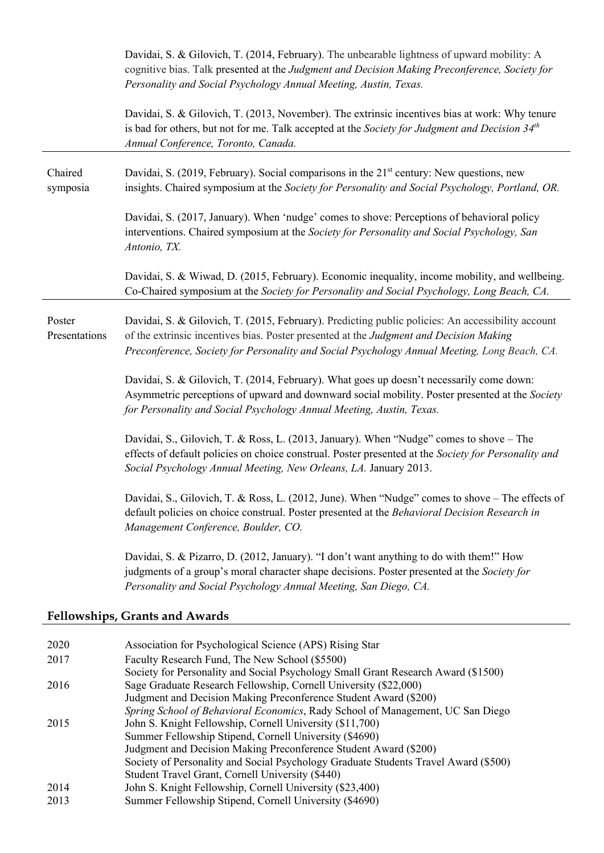|                         | Davidai, S. & Gilovich, T. (2014, February). The unbearable lightness of upward mobility: A<br>cognitive bias. Talk presented at the Judgment and Decision Making Preconference, Society for<br>Personality and Social Psychology Annual Meeting, Austin, Texas.                            |
|-------------------------|---------------------------------------------------------------------------------------------------------------------------------------------------------------------------------------------------------------------------------------------------------------------------------------------|
|                         | Davidai, S. & Gilovich, T. (2013, November). The extrinsic incentives bias at work: Why tenure<br>is bad for others, but not for me. Talk accepted at the Society for Judgment and Decision $34th$<br>Annual Conference, Toronto, Canada.                                                   |
| Chaired<br>symposia     | Davidai, S. (2019, February). Social comparisons in the 21 <sup>st</sup> century: New questions, new<br>insights. Chaired symposium at the Society for Personality and Social Psychology, Portland, OR.                                                                                     |
|                         | Davidai, S. (2017, January). When 'nudge' comes to shove: Perceptions of behavioral policy<br>interventions. Chaired symposium at the Society for Personality and Social Psychology, San<br>Antonio, TX.                                                                                    |
|                         | Davidai, S. & Wiwad, D. (2015, February). Economic inequality, income mobility, and wellbeing.<br>Co-Chaired symposium at the Society for Personality and Social Psychology, Long Beach, CA.                                                                                                |
| Poster<br>Presentations | Davidai, S. & Gilovich, T. (2015, February). Predicting public policies: An accessibility account<br>of the extrinsic incentives bias. Poster presented at the Judgment and Decision Making<br>Preconference, Society for Personality and Social Psychology Annual Meeting, Long Beach, CA. |
|                         | Davidai, S. & Gilovich, T. (2014, February). What goes up doesn't necessarily come down:<br>Asymmetric perceptions of upward and downward social mobility. Poster presented at the Society<br>for Personality and Social Psychology Annual Meeting, Austin, Texas.                          |
|                         | Davidai, S., Gilovich, T. & Ross, L. (2013, January). When "Nudge" comes to shove – The<br>effects of default policies on choice construal. Poster presented at the Society for Personality and<br>Social Psychology Annual Meeting, New Orleans, LA. January 2013.                         |
|                         | Davidai, S., Gilovich, T. & Ross, L. (2012, June). When "Nudge" comes to shove - The effects of<br>default policies on choice construal. Poster presented at the Behavioral Decision Research in<br>Management Conference, Boulder, CO.                                                     |
|                         | Davidai, S. & Pizarro, D. (2012, January). "I don't want anything to do with them!" How<br>judgments of a group's moral character shape decisions. Poster presented at the Society for<br>Personality and Social Psychology Annual Meeting, San Diego, CA.                                  |
|                         | <b>Fellowships, Grants and Awards</b>                                                                                                                                                                                                                                                       |
| 2020                    | Association for Psychological Science (APS) Rising Star                                                                                                                                                                                                                                     |
| 2017                    | Faculty Research Fund, The New School (\$5500)                                                                                                                                                                                                                                              |
|                         | Society for Personality and Social Psychology Small Grant Research Award (\$1500)                                                                                                                                                                                                           |
| 2016                    | Sage Graduate Research Fellowship, Cornell University (\$22,000)<br>Judgment and Decision Making Preconference Student Award (\$200)<br>Spring School of Behavioral Economics, Rady School of Management, UC San Diego                                                                      |
| 2015                    | Lohn $\mathcal{C}$ Knight Followship Cornell University ( $\mathcal{C}11$ 700)                                                                                                                                                                                                              |

- 2015 John S. Knight Fellowship, Cornell University (\$11,700) Summer Fellowship Stipend, Cornell University (\$4690)
	- Judgment and Decision Making Preconference Student Award (\$200)
	- Society of Personality and Social Psychology Graduate Students Travel Award (\$500)
- Student Travel Grant, Cornell University (\$440)
- 2014 John S. Knight Fellowship, Cornell University (\$23,400)
- 2013 Summer Fellowship Stipend, Cornell University (\$4690)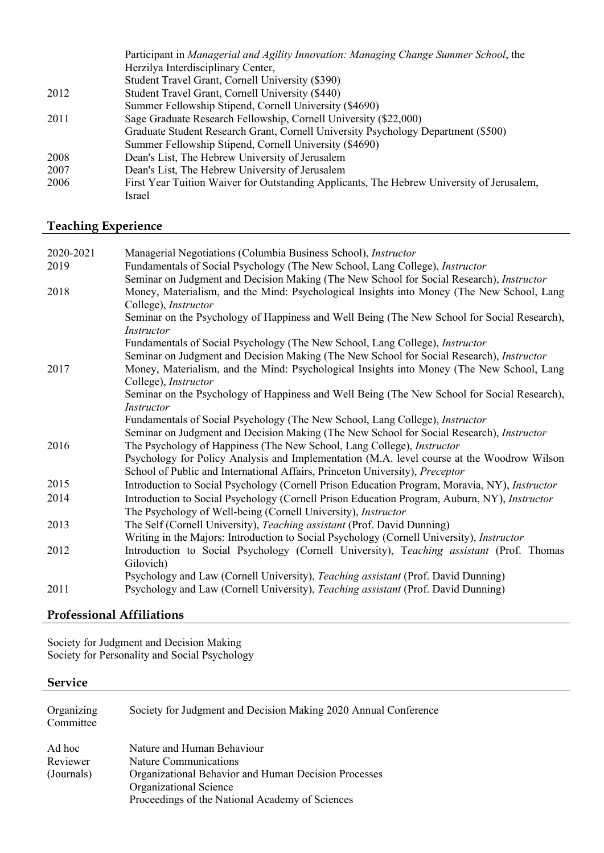|      | Participant in Managerial and Agility Innovation: Managing Change Summer School, the      |
|------|-------------------------------------------------------------------------------------------|
|      | Herzilya Interdisciplinary Center,                                                        |
|      | Student Travel Grant, Cornell University (\$390)                                          |
| 2012 | Student Travel Grant, Cornell University (\$440)                                          |
|      | Summer Fellowship Stipend, Cornell University (\$4690)                                    |
| 2011 | Sage Graduate Research Fellowship, Cornell University (\$22,000)                          |
|      | Graduate Student Research Grant, Cornell University Psychology Department (\$500)         |
|      | Summer Fellowship Stipend, Cornell University (\$4690)                                    |
| 2008 | Dean's List, The Hebrew University of Jerusalem                                           |
| 2007 | Dean's List, The Hebrew University of Jerusalem                                           |
| 2006 | First Year Tuition Waiver for Outstanding Applicants, The Hebrew University of Jerusalem, |
|      | Israel                                                                                    |

# **Teaching Experience**

| 2020-2021 | Managerial Negotiations (Columbia Business School), Instructor                                   |
|-----------|--------------------------------------------------------------------------------------------------|
| 2019      | Fundamentals of Social Psychology (The New School, Lang College), Instructor                     |
|           | Seminar on Judgment and Decision Making (The New School for Social Research), <i>Instructor</i>  |
| 2018      | Money, Materialism, and the Mind: Psychological Insights into Money (The New School, Lang        |
|           | College), <i>Instructor</i>                                                                      |
|           | Seminar on the Psychology of Happiness and Well Being (The New School for Social Research),      |
|           | Instructor                                                                                       |
|           | Fundamentals of Social Psychology (The New School, Lang College), Instructor                     |
|           | Seminar on Judgment and Decision Making (The New School for Social Research), Instructor         |
| 2017      | Money, Materialism, and the Mind: Psychological Insights into Money (The New School, Lang        |
|           | College), Instructor                                                                             |
|           | Seminar on the Psychology of Happiness and Well Being (The New School for Social Research),      |
|           | <i>Instructor</i>                                                                                |
|           | Fundamentals of Social Psychology (The New School, Lang College), Instructor                     |
|           | Seminar on Judgment and Decision Making (The New School for Social Research), Instructor         |
| 2016      | The Psychology of Happiness (The New School, Lang College), <i>Instructor</i>                    |
|           | Psychology for Policy Analysis and Implementation (M.A. level course at the Woodrow Wilson       |
|           | School of Public and International Affairs, Princeton University), Preceptor                     |
| 2015      | Introduction to Social Psychology (Cornell Prison Education Program, Moravia, NY), Instructor    |
| 2014      | Introduction to Social Psychology (Cornell Prison Education Program, Auburn, NY), Instructor     |
|           | The Psychology of Well-being (Cornell University), <i>Instructor</i>                             |
| 2013      | The Self (Cornell University), Teaching assistant (Prof. David Dunning)                          |
|           | Writing in the Majors: Introduction to Social Psychology (Cornell University), <i>Instructor</i> |
| 2012      | Introduction to Social Psychology (Cornell University), Teaching assistant (Prof. Thomas         |
|           | Gilovich)                                                                                        |
|           | Psychology and Law (Cornell University), Teaching assistant (Prof. David Dunning)                |
| 2011      | Psychology and Law (Cornell University), Teaching assistant (Prof. David Dunning)                |
|           |                                                                                                  |

# **Professional Affiliations**

Society for Judgment and Decision Making Society for Personality and Social Psychology

# **Service**

| Organizing<br>Committee          | Society for Judgment and Decision Making 2020 Annual Conference                                                                                                                          |
|----------------------------------|------------------------------------------------------------------------------------------------------------------------------------------------------------------------------------------|
| Ad hoc<br>Reviewer<br>(Journals) | Nature and Human Behaviour<br>Nature Communications<br>Organizational Behavior and Human Decision Processes<br>Organizational Science<br>Proceedings of the National Academy of Sciences |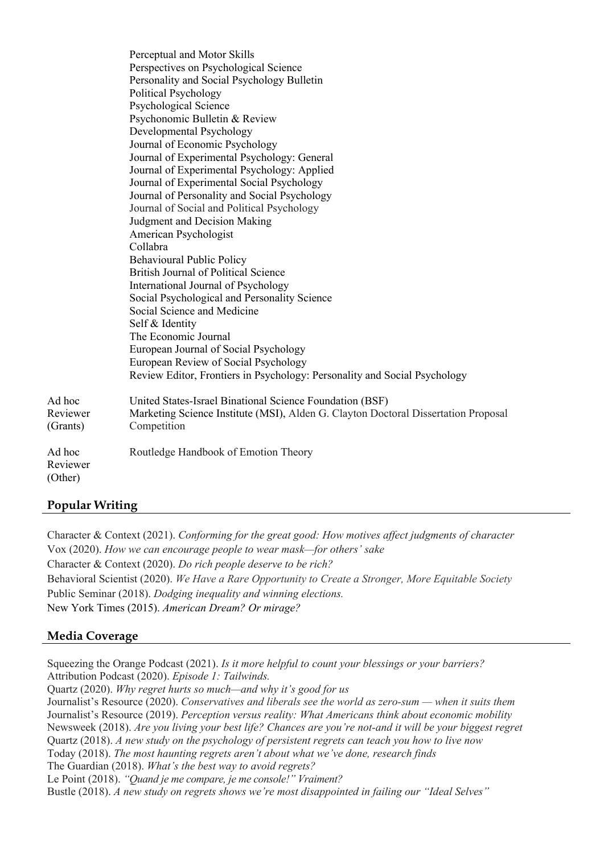|                                | Perceptual and Motor Skills<br>Perspectives on Psychological Science<br>Personality and Social Psychology Bulletin<br><b>Political Psychology</b><br>Psychological Science<br>Psychonomic Bulletin & Review<br>Developmental Psychology<br>Journal of Economic Psychology<br>Journal of Experimental Psychology: General<br>Journal of Experimental Psychology: Applied<br>Journal of Experimental Social Psychology<br>Journal of Personality and Social Psychology<br>Journal of Social and Political Psychology<br>Judgment and Decision Making<br>American Psychologist<br>Collabra<br><b>Behavioural Public Policy</b><br><b>British Journal of Political Science</b><br>International Journal of Psychology<br>Social Psychological and Personality Science<br>Social Science and Medicine<br>Self & Identity<br>The Economic Journal<br>European Journal of Social Psychology<br>European Review of Social Psychology<br>Review Editor, Frontiers in Psychology: Personality and Social Psychology |
|--------------------------------|-----------------------------------------------------------------------------------------------------------------------------------------------------------------------------------------------------------------------------------------------------------------------------------------------------------------------------------------------------------------------------------------------------------------------------------------------------------------------------------------------------------------------------------------------------------------------------------------------------------------------------------------------------------------------------------------------------------------------------------------------------------------------------------------------------------------------------------------------------------------------------------------------------------------------------------------------------------------------------------------------------------|
| Ad hoc<br>Reviewer<br>(Grants) | United States-Israel Binational Science Foundation (BSF)<br>Marketing Science Institute (MSI), Alden G. Clayton Doctoral Dissertation Proposal<br>Competition                                                                                                                                                                                                                                                                                                                                                                                                                                                                                                                                                                                                                                                                                                                                                                                                                                             |
| Ad hoc<br>Reviewer<br>(Other)  | Routledge Handbook of Emotion Theory                                                                                                                                                                                                                                                                                                                                                                                                                                                                                                                                                                                                                                                                                                                                                                                                                                                                                                                                                                      |

## **Popular Writing**

Character & Context (2021). *Conforming for the great good: How motives affect judgments of character* Vox (2020). *How we can encourage people to wear mask—for others' sake* Character & Context (2020). *Do rich people deserve to be rich?* Behavioral Scientist (2020). *We Have a Rare Opportunity to Create a Stronger, More Equitable Society* Public Seminar (2018). *Dodging inequality and winning elections.*  New York Times (2015). *American Dream? Or mirage?*

## **Media Coverage**

Squeezing the Orange Podcast (2021). *Is it more helpful to count your blessings or your barriers?* Attribution Podcast (2020). *Episode 1: Tailwinds.* Quartz (2020). *Why regret hurts so much—and why it's good for us* Journalist's Resource (2020). *Conservatives and liberals see the world as zero-sum — when it suits them* Journalist's Resource (2019). *Perception versus reality: What Americans think about economic mobility* Newsweek (2018). *Are you living your best life? Chances are you're not-and it will be your biggest regret* Quartz (2018). *A new study on the psychology of persistent regrets can teach you how to live now* Today (2018). *The most haunting regrets aren't about what we've done, research finds* The Guardian (2018). *What's the best way to avoid regrets?* Le Point (2018). *"Quand je me compare, je me console!" Vraiment?* Bustle (2018). *A new study on regrets shows we're most disappointed in failing our "Ideal Selves"*